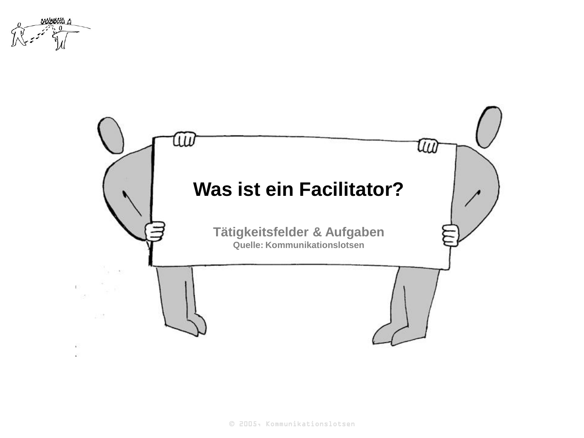

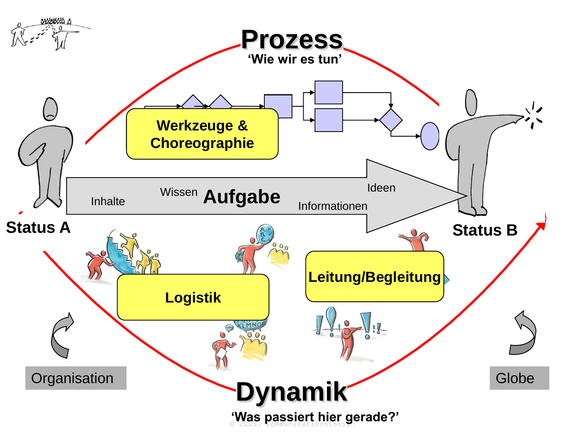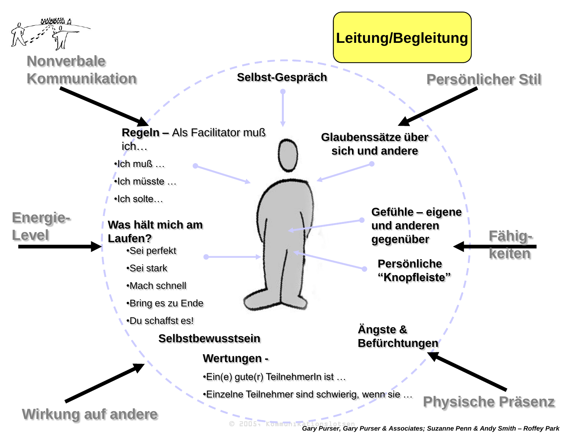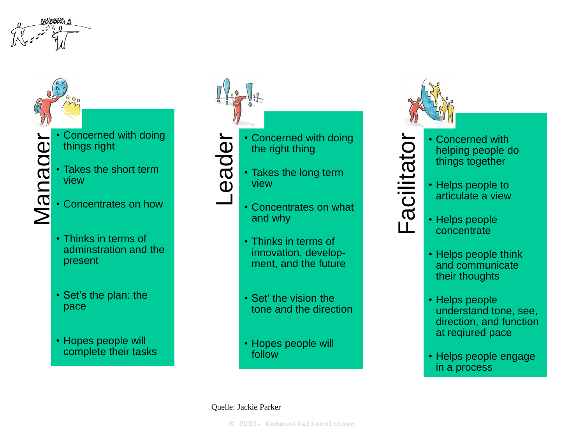

Manage

- Concerned with doing things right
- Takes the short term view
- Concentrates on how
- Thinks in terms of adminstration and the present
- Set's the plan: the pace
- Hopes people will complete their tasks



Leader

- Concerned with doing the right thing
- Takes the long term view



- Thinks in terms of innovation, develop ment, and the future
- Set' the vision the tone and the direction
- Hopes people will follow

## Quelle: Jackie Parker





- Concerned with helping people do things together
- Helps people to articulate a view
- Helps people **concentrate**
- Helps people think and communicate their thoughts
- Helps people understand tone, see, direction, and function at reqiured pace
- Helps people engage in a process